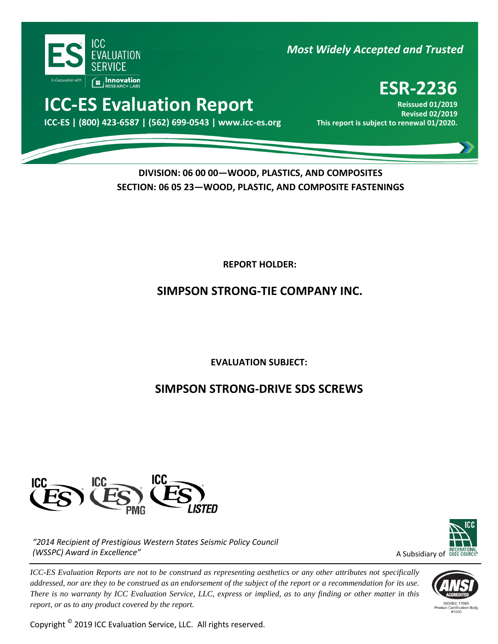

## *Most Widely Accepted and Trusted*

# **ICC-ES Evaluation Report**

000 **ICC-ES | (800) 423-6587 | (562) 699-0543 | www.icc-es.org This report is subject to renewal 01/2020.**

# **ESR-2236**

**Reissued 01/2019 Revised 02/2019**<br>This report is subject to renewal 01/2020.

### **DIVISION: 06 00 00—WOOD, PLASTICS, AND COMPOSITES SECTION: 06 05 23—WOOD, PLASTIC, AND COMPOSITE FASTENINGS**

**REPORT HOLDER:** 

### **SIMPSON STRONG-TIE COMPANY INC.**

**EVALUATION SUBJECT:**

## **SIMPSON STRONG-DRIVE SDS SCREWS**



*"2014 Recipient of Prestigious Western States Seismic Policy Council (WSSPC) Award in Excellence"*

*ICC-ES Evaluation Reports are not to be construed as representing aesthetics or any other attributes not specifically addressed, nor are they to be construed as an endorsement of the subject of the report or a recommendation for its use. There is no warranty by ICC Evaluation Service, LLC, express or implied, as to any finding or other matter in this report, or as to any product covered by the report.*

Copyright © 2019 ICC Evaluation Service, LLC. All rights reserved.



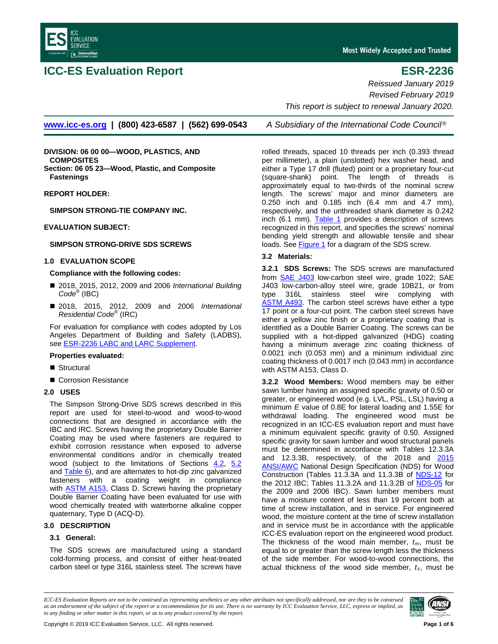<span id="page-1-4"></span><span id="page-1-1"></span>

### **ICC-ES Evaluation Report ESR-2236**

Most Widely Accepted and Trusted

*Reissued January 2019 Revised February 2019 This report is subject to renewal January 2020.*

**[www.icc-es.org](http://www.icc-es.org/) | (800) 423-6587 | (562) 699-0543** *A Subsidiary of the International Code Council*®

**DIVISION: 06 00 00—WOOD, PLASTICS, AND COMPOSITES Section: 06 05 23—Wood, Plastic, and Composite Fastenings**

**REPORT HOLDER:**

**SIMPSON STRONG-TIE COMPANY INC.**

#### **EVALUATION SUBJECT:**

#### **SIMPSON STRONG-DRIVE SDS SCREWS**

#### <span id="page-1-0"></span>**1.0 EVALUATION SCOPE**

#### **Compliance with the following codes:**

- 2018, 2015, 2012, 2009 and 2006 *International Building Code*® (IBC)
- 2018, 2015, 2012, 2009 and 2006 *International Residential Code*® (IRC)

For evaluation for compliance with codes adopted by Los Angeles Department of Building and Safety (LADBS), see **ESR-2236 LABC and LARC Supplement**.

#### **Properties evaluated:**

- Structural
- Corrosion Resistance

#### **2.0 USES**

The Simpson Strong-Drive SDS screws described in this report are used for steel-to-wood and wood-to-wood connections that are designed in accordance with the IBC and IRC. Screws having the proprietary Double Barrier Coating may be used where fasteners are required to exhibit corrosion resistance when exposed to adverse environmental conditions and/or in chemically treated wood (subject to the limitations of Sections [4.2,](#page-2-0) [5.2](#page-2-1) an[d Table](#page-5-0) 6), and are alternates to hot-dip zinc galvanized fasteners with a coating weight in compliance with **ASTM A153**, Class D. Screws having the proprietary Double Barrier Coating have been evaluated for use with wood chemically treated with waterborne alkaline copper quaternary, Type D (ACQ-D).

#### **3.0 DESCRIPTION**

#### **3.1 General:**

The SDS screws are manufactured using a standard cold-forming process, and consist of either heat-treated carbon steel or type 316L stainless steel. The screws have

rolled threads, spaced 10 threads per inch (0.393 thread per millimeter), a plain (unslotted) hex washer head, and either a Type 17 drill (fluted) point or a proprietary four-cut (square-shank) point. The length of threads is approximately equal to two-thirds of the nominal screw length. The screws' major and minor diameters are 0.250 inch and 0.185 inch (6.4 mm and 4.7 mm), respectively, and the unthreaded shank diameter is 0.242 inch (6.1 mm). [Table 1](#page-3-0) provides a description of screws recognized in this report, and specifies the screws' nominal bending yield strength and allowable tensile and shear loads. See [Figure 1](#page-3-1) for a diagram of the SDS screw.

#### **3.2 Materials:**

**3.2.1 SDS Screws:** The SDS screws are manufactured from **SAE J403** low-carbon steel wire, grade 1022; SAE J403 low-carbon-alloy steel wire, grade 10B21, or from type 316L stainless steel wire complying with [ASTM A493.](http://www.astm.org/Standards/A493.htm) The carbon steel screws have either a type 17 point or a four-cut point. The carbon steel screws have either a yellow zinc finish or a proprietary coating that is identified as a Double Barrier Coating. The screws can be supplied with a hot-dipped galvanized (HDG) coating having a minimum average zinc coating thickness of 0.0021 inch (0.053 mm) and a minimum individual zinc coating thickness of 0.0017 inch (0.043 mm) in accordance with ASTM A153, Class D.

<span id="page-1-3"></span><span id="page-1-2"></span>**3.2.2 Wood Members:** Wood members may be either sawn lumber having an assigned specific gravity of 0.50 or greater, or engineered wood (e.g. LVL, PSL, LSL) having a minimum *E* value of 0.8E for lateral loading and 1.55E for withdrawal loading. The engineered wood must be recognized in an ICC-ES evaluation report and must have a minimum equivalent specific gravity of 0.50. Assigned specific gravity for sawn lumber and wood structural panels must be determined in accordance with Tables 12.3.3A and 12.3.3B, respectively, of the 2018 and [2015](http://www.awc.org/standards/nds/2015.php) **[ANSI/AWC](http://www.awc.org/standards/nds/2015.php)** National Design Specification (NDS) for Wood Construction (Tables 11.3.3A and 11.3.3B of [NDS-12](http://www.awc.org/standards/nds/2012.php) for the 2012 IBC; Tables 11.3.2A and 11.3.2B of [NDS-05](http://www.awc.org/standards/nds/2005.php) for the 2009 and 2006 IBC). Sawn lumber members must have a moisture content of less than 19 percent both at time of screw installation, and in service. For engineered wood, the moisture content at the time of screw installation and in service must be in accordance with the applicable ICC-ES evaluation report on the engineered wood product. The thickness of the wood main member, *tm*, must be equal to or greater than the screw length less the thickness of the side member. For wood-to-wood connections, the actual thickness of the wood side member, *ts*, must be

*ICC-ES Evaluation Reports are not to be construed as representing aesthetics or any other attributes not specifically addressed, nor are they to be construed as an endorsement of the subject of the report or a recommendation for its use. There is no warranty by ICC Evaluation Service, LLC, express or implied, as to any finding or other matter in this report, or as to any product covered by the report.*

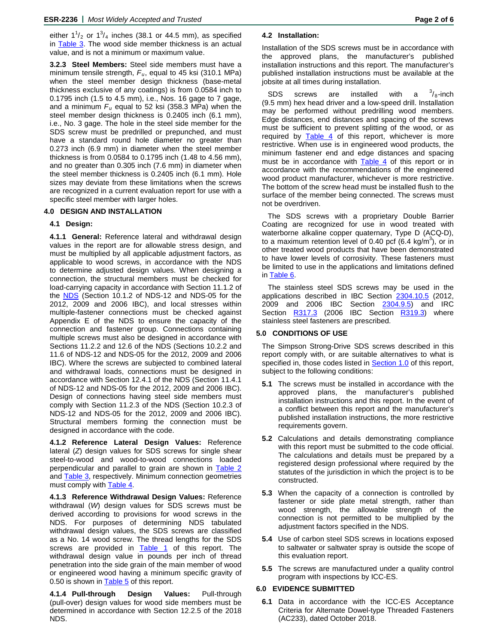either  $1^1/2$  or  $1^3/4$  inches (38.1 or 44.5 mm), as specified in **Table 3**. The wood side member thickness is an actual value, and is not a minimum or maximum value.

**3.2.3 Steel Members:** Steel side members must have a minimum tensile strength, *Fu*, equal to 45 ksi (310.1 MPa) when the steel member design thickness (base-metal thickness exclusive of any coatings) is from 0.0584 inch to 0.1795 inch (1.5 to 4.5 mm), i.e., Nos. 16 gage to 7 gage, and a minimum *Fu* equal to 52 ksi (358.3 MPa) when the steel member design thickness is 0.2405 inch (6.1 mm), i.e., No. 3 gage. The hole in the steel side member for the SDS screw must be predrilled or prepunched, and must have a standard round hole diameter no greater than 0.273 inch (6.9 mm) in diameter when the steel member thickness is from 0.0584 to 0.1795 inch (1.48 to 4.56 mm), and no greater than 0.305 inch (7.6 mm) in diameter when the steel member thickness is 0.2405 inch (6.1 mm). Hole sizes may deviate from these limitations when the screws are recognized in a current evaluation report for use with a specific steel member with larger holes.

#### **4.0 DESIGN AND INSTALLATION**

#### **4.1 Design:**

**4.1.1 General:** Reference lateral and withdrawal design values in the report are for allowable stress design, and must be multiplied by all applicable adjustment factors, as applicable to wood screws, in accordance with the NDS to determine adjusted design values. When designing a connection, the structural members must be checked for load-carrying capacity in accordance with Section 11.1.2 of the **NDS** (Section 10.1.2 of [NDS](https://www.awc.org/codes-standards/publications/nds-2018)-12 and NDS-05 for the 2012, 2009 and 2006 IBC), and local stresses within multiple-fastener connections must be checked against Appendix E of the NDS to ensure the capacity of the connection and fastener group. Connections containing multiple screws must also be designed in accordance with Sections 11.2.2 and 12.6 of the NDS (Sections 10.2.2 and 11.6 of NDS-12 and NDS-05 for the 2012, 2009 and 2006 IBC). Where the screws are subjected to combined lateral and withdrawal loads, connections must be designed in accordance with Section 12.4.1 of the NDS (Section 11.4.1 of NDS-12 and NDS-05 for the 2012, 2009 and 2006 IBC). Design of connections having steel side members must comply with Section 11.2.3 of the NDS (Section 10.2.3 of NDS-12 and NDS-05 for the 2012, 2009 and 2006 IBC). Structural members forming the connection must be designed in accordance with the code.

**4.1.2 Reference Lateral Design Values:** Reference lateral (*Z*) design values for SDS screws for single shear steel-to-wood and wood-to-wood connections loaded perpendicular and parallel to grain are shown in [Table 2](#page-4-0) and [Table 3,](#page-4-1) respectively. Minimum connection geometries must comply with [Table 4.](#page-5-1)

**4.1.3 Reference Withdrawal Design Values:** Reference withdrawal (*W*) design values for SDS screws must be derived according to provisions for wood screws in the NDS. For purposes of determining NDS tabulated withdrawal design values, the SDS screws are classified as a No. 14 wood screw. The thread lengths for the SDS screws are provided in [Table 1](#page-3-0) of this report. The withdrawal design value in pounds per inch of thread penetration into the side grain of the main member of wood or engineered wood having a minimum specific gravity of 0.50 is shown in **Table 5** of this report.

<span id="page-2-0"></span>**4.1.4 Pull-through Design Values:** Pull-through (pull-over) design values for wood side members must be determined in accordance with Section 12.2.5 of the 2018 NDS.

#### **4.2 Installation:**

Installation of the SDS screws must be in accordance with the approved plans, the manufacturer's published installation instructions and this report. The manufacturer's published installation instructions must be available at the jobsite at all times during installation.

SDS screws are installed with a  $\frac{3}{8}$ -inch (9.5 mm) hex head driver and a low-speed drill. Installation may be performed without predrilling wood members. Edge distances, end distances and spacing of the screws must be sufficient to prevent splitting of the wood, or as required by **[Table 4](#page-5-1)** of this report, whichever is more restrictive. When use is in engineered wood products, the minimum fastener end and edge distances and spacing must be in accordance with [Table 4](#page-5-1) of this report or in accordance with the recommendations of the engineered wood product manufacturer, whichever is more restrictive. The bottom of the screw head must be installed flush to the surface of the member being connected. The screws must not be overdriven.

The SDS screws with a proprietary Double Barrier Coating are recognized for use in wood treated with waterborne alkaline copper quaternary, Type D (ACQ-D), to a maximum retention level of 0.40 pcf  $(6.4 \text{ kg/m}^3)$ , or in other treated wood products that have been demonstrated to have lower levels of corrosivity. These fasteners must be limited to use in the applications and limitations defined in [Table 6.](#page-5-0)

The stainless steel SDS screws may be used in the applications described in IBC Section [2304.10.5](https://codes.iccsafe.org/content/IBC2018/chapter-23-wood) (2012, 2009 and 2006 IBC Section [2304.9.5\)](https://codes.iccsafe.org/public/document/IBC2012/chapter-23-wood) and IRC Section [R317.3](https://codes.iccsafe.org/content/IRC2018/chapter-3-building-planning) (2006 IBC Section [R319.3\)](https://codes.iccsafe.org/content/chapter/4458/) where stainless steel fasteners are prescribed.

#### **5.0 CONDITIONS OF USE**

The Simpson Strong-Drive SDS screws described in this report comply with, or are suitable alternatives to what is specified in, those codes listed in **Section 1.0** of this report, subject to the following conditions:

- <span id="page-2-1"></span>**5.1** The screws must be installed in accordance with the approved plans, the manufacturer's published installation instructions and this report. In the event of a conflict between this report and the manufacturer's published installation instructions, the more restrictive requirements govern.
- **5.2** Calculations and details demonstrating compliance with this report must be submitted to the code official. The calculations and details must be prepared by a registered design professional where required by the statutes of the jurisdiction in which the project is to be constructed.
- **5.3** When the capacity of a connection is controlled by fastener or side plate metal strength, rather than wood strength, the allowable strength of the connection is not permitted to be multiplied by the adjustment factors specified in the NDS.
- **5.4** Use of carbon steel SDS screws in locations exposed to saltwater or saltwater spray is outside the scope of this evaluation report.
- **5.5** The screws are manufactured under a quality control program with inspections by ICC-ES.

#### **6.0 EVIDENCE SUBMITTED**

**6.1** Data in accordance with the ICC-ES Acceptance Criteria for Alternate Dowel-type Threaded Fasteners (AC233), dated October 2018.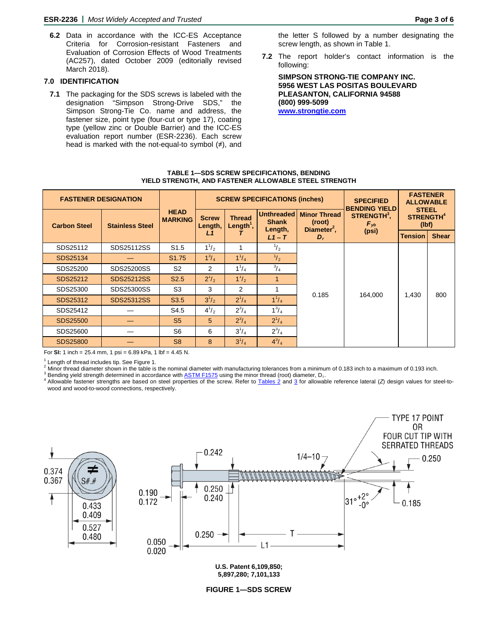**6.2** Data in accordance with the ICC-ES Acceptance Criteria for Corrosion-resistant Fasteners and Evaluation of Corrosion Effects of Wood Treatments (AC257), dated October 2009 (editorially revised March 2018).

### **7.0 IDENTIFICATION**

**7.1** The packaging for the SDS screws is labeled with the designation "Simpson Strong-Drive SDS," the Simpson Strong-Tie Co. name and address, the fastener size, point type (four-cut or type 17), coating type (yellow zinc or Double Barrier) and the ICC-ES evaluation report number (ESR-2236). Each screw head is marked with the not-equal-to symbol (≠), and

the letter S followed by a number designating the screw length, as shown in Table 1.

**7.2** The report holder's contact information is the following:

**SIMPSON STRONG-TIE COMPANY INC. 5956 WEST LAS POSITAS BOULEVARD PLEASANTON, CALIFORNIA 94588 (800) 999-5099 [www.strongtie.com](https://www.strongtie.com/)**

#### **[TABLE 1—SDS SCREW SPECIFICATIONS, BENDING](#page-1-1) [YIELD STRENGTH, AND FASTENER ALLOWABLE STEEL STRENGTH](#page-1-1)**

<span id="page-3-0"></span>

| <b>FASTENER DESIGNATION</b> |                        |                               |                         |                                        | <b>SCREW SPECIFICATIONS (inches)</b>         |                                                          | <b>SPECIFIED</b><br><b>BENDING YIELD</b> | <b>FASTENER</b><br><b>ALLOWABLE</b>                  |              |
|-----------------------------|------------------------|-------------------------------|-------------------------|----------------------------------------|----------------------------------------------|----------------------------------------------------------|------------------------------------------|------------------------------------------------------|--------------|
| <b>Carbon Steel</b>         | <b>Stainless Steel</b> | <b>HEAD</b><br><b>MARKING</b> | <b>Screw</b><br>Length, | <b>Thread</b><br>Length <sup>1</sup> , | <b>Unthreaded</b><br><b>Shank</b><br>Length, | <b>Minor Thread</b><br>(root)<br>Diameter <sup>2</sup> , | STRENGTH <sup>3</sup> .<br>$F_{\nu b}$   | <b>STEEL</b><br><b>STRENGTH<sup>4</sup></b><br>(lbf) |              |
|                             |                        |                               | L1                      |                                        | $L1-T$                                       | $D_r$                                                    | (psi)                                    | <b>Tension</b>                                       | <b>Shear</b> |
| SDS25112                    | SDS25112SS             | S <sub>1.5</sub>              | $1^{1/2}$               |                                        | $\frac{1}{2}$                                |                                                          |                                          |                                                      |              |
| SDS25134                    |                        | S <sub>1.75</sub>             | $1^3/4$                 | $1^{1}/_{4}$                           | $\frac{1}{2}$                                |                                                          |                                          |                                                      |              |
| SDS25200                    | SDS25200SS             | S <sub>2</sub>                | 2                       | $1^{1}/_{4}$                           | $^{3}/_{4}$                                  |                                                          |                                          |                                                      |              |
| SDS25212                    | SDS25212SS             | S <sub>2.5</sub>              | $2^{1}/2$               | $1^{1}/_{2}$                           |                                              |                                                          |                                          |                                                      |              |
| SDS25300                    | SDS25300SS             | S <sub>3</sub>                | 3                       | 2                                      |                                              | 0.185                                                    | 164,000                                  | 1,430                                                | 800          |
| SDS25312                    | SDS25312SS             | S <sub>3.5</sub>              | $3^{1}/_{2}$            | $2^{1}/_{4}$                           | $1^{1}/_{4}$                                 |                                                          |                                          |                                                      |              |
| SDS25412                    |                        | S4.5                          | $4^{1}/_{2}$            | $2^3/4$                                | $1^3/4$                                      |                                                          |                                          |                                                      |              |
| SDS25500                    |                        | S <sub>5</sub>                | 5                       | $2^3/4$                                | $2^{1}/4$                                    |                                                          |                                          |                                                      |              |
| SDS25600                    |                        | S <sub>6</sub>                | 6                       | $3^{1}/_{4}$                           | $2^{3}/_{4}$                                 |                                                          |                                          |                                                      |              |
| <b>SDS25800</b>             |                        | S <sub>8</sub>                | 8                       | $3^{1}/_{4}$                           | $4^{3}/_{4}$                                 |                                                          |                                          |                                                      |              |

For **SI:** 1 inch = 25.4 mm, 1 psi = 6.89 kPa, 1 lbf = 4.45 N.

<span id="page-3-1"></span>

<sup>1</sup> Length of thread includes tip. See Figure 1.<br><sup>2</sup> Minor thread diameter shown in the table is the nominal diameter with manufacturing tolerances from a minimum of 0.183 inch to a maximum of 0.193 inch.<br><sup>3</sup> Bending yiel wood and wood-to-wood connections, respectively.





**5,897,280; 7,101,133**

**TYPE 17 POINT** 

**[FIGURE 1—SDS SCREW](#page-1-1)**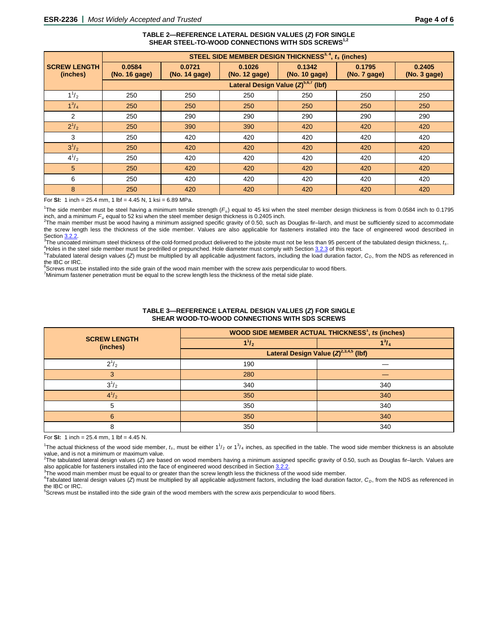#### **[TABLE 2—REFERENCE LATERAL DESIGN VALUES \(](#page-1-1)***Z***) FOR SINGLE** SHEAR STEEL-TO-WOOD CONNECTIONS WITH SDS SCREWS<sup>1</sup>

<span id="page-4-2"></span><span id="page-4-0"></span>

|                                 | STEEL SIDE MEMBER DESIGN THICKNESS <sup>3, 4</sup> , $t_s$ (inches) |                         |                         |                         |                        |                        |
|---------------------------------|---------------------------------------------------------------------|-------------------------|-------------------------|-------------------------|------------------------|------------------------|
| <b>SCREW LENGTH</b><br>(inches) | 0.0584<br>(No. 16 gage)                                             | 0.0721<br>(No. 14 gage) | 0.1026<br>(No. 12 gage) | 0.1342<br>(No. 10 gage) | 0.1795<br>(No. 7 gage) | 0.2405<br>(No. 3 gage) |
|                                 | Lateral Design Value $(Z)^{5,6,7}$ (lbf)                            |                         |                         |                         |                        |                        |
| $1^{1}/_{2}$                    | 250                                                                 | 250                     | 250                     | 250                     | 250                    | 250                    |
| $1^3/4$                         | 250                                                                 | 250                     | 250                     | 250                     | 250                    | 250                    |
| 2                               | 250                                                                 | 290                     | 290                     | 290                     | 290                    | 290                    |
| $2^{1}/_{2}$                    | 250                                                                 | 390                     | 390                     | 420                     | 420                    | 420                    |
| 3                               | 250                                                                 | 420                     | 420                     | 420                     | 420                    | 420                    |
| $3^{1}/_{2}$                    | 250                                                                 | 420                     | 420                     | 420                     | 420                    | 420                    |
| $4^{1/2}$                       | 250                                                                 | 420                     | 420                     | 420                     | 420                    | 420                    |
| 5                               | 250                                                                 | 420                     | 420                     | 420                     | 420                    | 420                    |
| 6                               | 250                                                                 | 420                     | 420                     | 420                     | 420                    | 420                    |
| 8                               | 250                                                                 | 420                     | 420                     | 420                     | 420                    | 420                    |

For **SI:** 1 inch = 25.4 mm, 1 lbf = 4.45 N, 1 ksi = 6.89 MPa.

<sup>1</sup>The side member must be steel having a minimum tensile strength (F<sub>u</sub>) equal to 45 ksi when the steel member design thickness is from 0.0584 inch to 0.1795 inch, and a minimum *Fu* equal to 52 ksi when the steel member design thickness is 0.2405 inch. <sup>2</sup>

 $^2$ The main member must be wood having a minimum assigned specific gravity of 0.50, such as Douglas fir–larch, and must be sufficiently sized to accommodate the screw length less the thickness of the side member. Values are also applicable for fasteners installed into the face of engineered wood described in<br>Section 3.2.2. Section <mark>3.2.2</mark>.<br><sup>3</sup>The uncester

The uncoated minimum steel thickness of the cold-formed product delivered to the jobsite must not be less than 95 percent of the tabulated design thickness, *ts*.<br><sup>4</sup>Heles in the steel side member must be produilled as pro <sup>4</sup>Holes in the steel side member must be predrilled or prepunched. Hole diameter must comply with Sectio[n 3.2.3](#page-1-3) of this report.

<sup>5</sup>Tabulated lateral design values (*Z*) must be multiplied by all applicable adjustment factors, including the load duration factor,  $C_D$ , from the NDS as referenced in the IBC or IRC.

<sup>6</sup>Screws must be installed into the side grain of the wood main member with the screw axis perpendicular to wood fibers.

7 Minimum fastener penetration must be equal to the screw length less the thickness of the metal side plate.

<span id="page-4-1"></span>

|                                 | WOOD SIDE MEMBER ACTUAL THICKNESS <sup>1</sup> , ts (inches) |              |  |  |
|---------------------------------|--------------------------------------------------------------|--------------|--|--|
| <b>SCREW LENGTH</b><br>(inches) | $11_{2}$                                                     | $1^{3}/_{4}$ |  |  |
|                                 | Lateral Design Value $(Z)^{2,3,4,5}$ (lbf)                   |              |  |  |
| $2^{1/2}$                       | 190                                                          |              |  |  |
| 3                               | 280                                                          |              |  |  |
| $3^{1}/_{2}$                    | 340                                                          | 340          |  |  |
| $4^{1}/_{2}$                    | 350                                                          | 340          |  |  |
| 5                               | 350                                                          | 340          |  |  |
| 6                               | 350                                                          | 340          |  |  |
| 8                               | 350                                                          | 340          |  |  |

#### **[TABLE 3—REFERENCE LATERAL DESIGN VALUES \(](#page-1-1)***Z***) FOR SINGLE [SHEAR WOOD-TO-WOOD CONNECTIONS WITH SDS SCREWS](#page-1-1)**

For **SI:** 1 inch =  $25.4$  mm, 1 lbf =  $4.45$  N.

<sup>1</sup>The actual thickness of the wood side member,  $t_s$ , must be either  $1^{1}/_2$  or  $1^{3}/_4$  inches, as specified in the table. The wood side member thickness is an absolute value, and is not a minimum or maximum value.

2 The tabulated lateral design values (*Z*) are based on wood members having a minimum assigned specific gravity of 0.50, such as Douglas fir–larch. Values are also applicable for fasteners installed into the face of engineered wood described in Sectio[n 3.2.2.](#page-1-2) <sup>3</sup>

The wood main member must be equal to or greater than the screw length less the thickness of the wood side member.

Tabulated lateral design values (Z) must be multiplied by all applicable adjustment factors, including the load duration factor, C<sub>D</sub>, from the NDS as referenced in the IBC or IRC.

5 Screws must be installed into the side grain of the wood members with the screw axis perpendicular to wood fibers.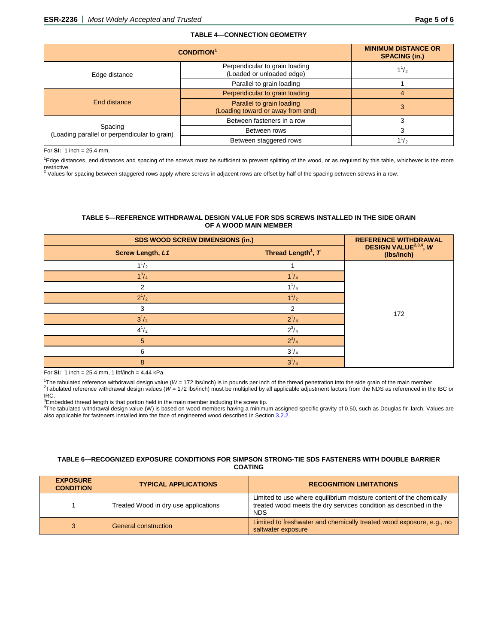<span id="page-5-1"></span>

| <b>CONDITION</b> <sup>1</sup>                           | <b>MINIMUM DISTANCE OR</b><br><b>SPACING (in.)</b>             |           |  |  |  |
|---------------------------------------------------------|----------------------------------------------------------------|-----------|--|--|--|
| Edge distance                                           | Perpendicular to grain loading<br>(Loaded or unloaded edge)    | $1^{1/2}$ |  |  |  |
|                                                         | Parallel to grain loading                                      |           |  |  |  |
|                                                         | Perpendicular to grain loading                                 | 4         |  |  |  |
| End distance                                            | Parallel to grain loading<br>(Loading toward or away from end) | 3         |  |  |  |
|                                                         | Between fasteners in a row                                     |           |  |  |  |
| Spacing<br>(Loading parallel or perpendicular to grain) | Between rows                                                   |           |  |  |  |
|                                                         | Between staggered rows                                         |           |  |  |  |

For **SI:** 1 inch = 25.4 mm.

<sup>1</sup>Edge distances, end distances and spacing of the screws must be sufficient to prevent splitting of the wood, or as required by this table, whichever is the more

restrictive.<br><sup>2</sup> Values for spacing between staggered rows apply where screws in adjacent rows are offset by half of the spacing between screws in a row.

#### **[TABLE 5—REFERENCE WITHDRAWAL DESIGN VALUE FOR SDS SCREWS INSTALLED IN THE SIDE GRAIN](#page-1-1) [OF A WOOD MAIN MEMBER](#page-1-1)**

<span id="page-5-2"></span>

| <b>SDS WOOD SCREW DIMENSIONS (in.)</b> | <b>REFERENCE WITHDRAWAL</b>    |                                                 |
|----------------------------------------|--------------------------------|-------------------------------------------------|
| <b>Screw Length, L1</b>                | Thread Length <sup>1</sup> , T | DESIGN VALUE <sup>2,3,4</sup> , W<br>(Ibs/inch) |
| $1^{1}/_{2}$                           |                                |                                                 |
| $1^3/4$                                | $1^{1}/_{4}$                   |                                                 |
| 2                                      | $1^{1}/_{4}$                   |                                                 |
| $2^{1/2}$                              | $1^{1}/_{2}$                   |                                                 |
| 3                                      | 2                              | 172                                             |
| $3^{1}/_{2}$                           | $2^{1}/4$                      |                                                 |
| $4^{1}/_{2}$                           | $2^3/4$                        |                                                 |
| 5                                      | $2^3/4$                        |                                                 |
| 6                                      | $3^{1}/_{4}$                   |                                                 |
| 8                                      | $3^{1}/_{4}$                   |                                                 |

For **SI:** 1 inch = 25.4 mm, 1 lbf/inch = 4.44 kPa.

<sup>1</sup>The tabulated reference withdrawal design value (*W* = 172 lbs/inch) is in pounds per inch of the thread penetration into the side grain of the main member.<br><sup>2</sup>Tabulated reference withdrawal design values (*W* = 172 lbs IRC.

 $^3$ Embedded thread length is that portion held in the main member including the screw tip.<br> $^{4}$ The tabulated withdrawal design value (M) is begad an wood members boying a minimu

The tabulated withdrawal design value (W) is based on wood members having a minimum assigned specific gravity of 0.50, such as Douglas fir–larch. Values are also applicable for fasteners installed into the face of engineered wood described in Section [3.2.2.](#page-1-2)

#### <span id="page-5-0"></span>**[TABLE 6—RECOGNIZED EXPOSURE CONDITIONS FOR SIMPSON STRONG-TIE SDS FASTENERS](#page-1-1) WITH DOUBLE BARRIER [COATING](#page-1-1)**

| <b>EXPOSURE</b><br><b>CONDITION</b> | <b>TYPICAL APPLICATIONS</b>          | <b>RECOGNITION LIMITATIONS</b>                                                                                                                         |
|-------------------------------------|--------------------------------------|--------------------------------------------------------------------------------------------------------------------------------------------------------|
|                                     | Treated Wood in dry use applications | Limited to use where equilibrium moisture content of the chemically<br>treated wood meets the dry services condition as described in the<br><b>NDS</b> |
|                                     | <b>General construction</b>          | Limited to freshwater and chemically treated wood exposure, e.g., no<br>saltwater exposure                                                             |